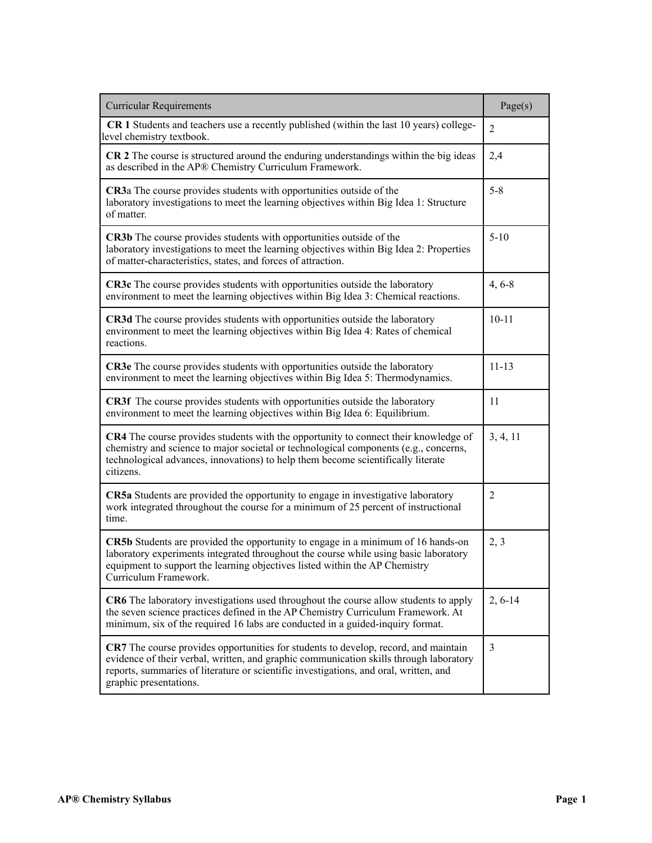| <b>Curricular Requirements</b>                                                                                                                                                                                                                                                                   | Page(s)        |
|--------------------------------------------------------------------------------------------------------------------------------------------------------------------------------------------------------------------------------------------------------------------------------------------------|----------------|
| CR 1 Students and teachers use a recently published (within the last 10 years) college-<br>level chemistry textbook.                                                                                                                                                                             | $\overline{2}$ |
| CR 2 The course is structured around the enduring understandings within the big ideas<br>as described in the AP® Chemistry Curriculum Framework.                                                                                                                                                 | 2,4            |
| <b>CR3a</b> The course provides students with opportunities outside of the<br>laboratory investigations to meet the learning objectives within Big Idea 1: Structure<br>of matter.                                                                                                               | $5 - 8$        |
| <b>CR3b</b> The course provides students with opportunities outside of the<br>laboratory investigations to meet the learning objectives within Big Idea 2: Properties<br>of matter-characteristics, states, and forces of attraction.                                                            | $5 - 10$       |
| CR3c The course provides students with opportunities outside the laboratory<br>environment to meet the learning objectives within Big Idea 3: Chemical reactions.                                                                                                                                | $4, 6 - 8$     |
| CR3d The course provides students with opportunities outside the laboratory<br>environment to meet the learning objectives within Big Idea 4: Rates of chemical<br>reactions.                                                                                                                    | $10 - 11$      |
| <b>CR3e</b> The course provides students with opportunities outside the laboratory<br>environment to meet the learning objectives within Big Idea 5: Thermodynamics.                                                                                                                             | $11 - 13$      |
| <b>CR3f</b> The course provides students with opportunities outside the laboratory<br>environment to meet the learning objectives within Big Idea 6: Equilibrium.                                                                                                                                | 11             |
| CR4 The course provides students with the opportunity to connect their knowledge of<br>chemistry and science to major societal or technological components (e.g., concerns,<br>technological advances, innovations) to help them become scientifically literate<br>citizens.                     | 3, 4, 11       |
| CR5a Students are provided the opportunity to engage in investigative laboratory<br>work integrated throughout the course for a minimum of 25 percent of instructional<br>time.                                                                                                                  | $\overline{2}$ |
| <b>CR5b</b> Students are provided the opportunity to engage in a minimum of 16 hands-on<br>laboratory experiments integrated throughout the course while using basic laboratory<br>equipment to support the learning objectives listed within the AP Chemistry<br>Curriculum Framework.          | 2, 3           |
| CR6 The laboratory investigations used throughout the course allow students to apply<br>the seven science practices defined in the AP Chemistry Curriculum Framework. At<br>minimum, six of the required 16 labs are conducted in a guided-inquiry format.                                       | $2, 6-14$      |
| CR7 The course provides opportunities for students to develop, record, and maintain<br>evidence of their verbal, written, and graphic communication skills through laboratory<br>reports, summaries of literature or scientific investigations, and oral, written, and<br>graphic presentations. | $\overline{3}$ |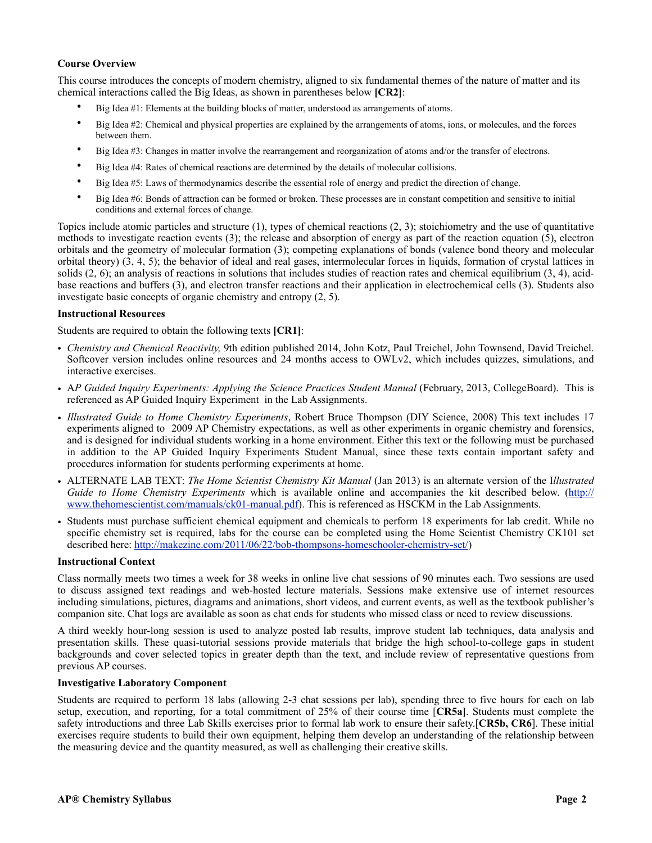# **Course Overview**

This course introduces the concepts of modern chemistry, aligned to six fundamental themes of the nature of matter and its chemical interactions called the Big Ideas, as shown in parentheses below **[CR2]**:

- Big Idea #1: Elements at the building blocks of matter, understood as arrangements of atoms.
- Big Idea #2: Chemical and physical properties are explained by the arrangements of atoms, ions, or molecules, and the forces between them.
- Big Idea #3: Changes in matter involve the rearrangement and reorganization of atoms and/or the transfer of electrons.
- Big Idea #4: Rates of chemical reactions are determined by the details of molecular collisions.
- Big Idea #5: Laws of thermodynamics describe the essential role of energy and predict the direction of change.
- Big Idea #6: Bonds of attraction can be formed or broken. These processes are in constant competition and sensitive to initial conditions and external forces of change.

Topics include atomic particles and structure (1), types of chemical reactions (2, 3); stoichiometry and the use of quantitative methods to investigate reaction events (3); the release and absorption of energy as part of the reaction equation (5), electron orbitals and the geometry of molecular formation (3); competing explanations of bonds (valence bond theory and molecular orbital theory) (3, 4, 5); the behavior of ideal and real gases, intermolecular forces in liquids, formation of crystal lattices in solids  $(2, 6)$ ; an analysis of reactions in solutions that includes studies of reaction rates and chemical equilibrium  $(3, 4)$ , acidbase reactions and buffers (3), and electron transfer reactions and their application in electrochemical cells (3). Students also investigate basic concepts of organic chemistry and entropy (2, 5).

### **Instructional Resources**

Students are required to obtain the following texts **[CR1]**:

- *Chemistry and Chemical Reactivity,* 9th edition published 2014, John Kotz, Paul Treichel, John Townsend, David Treichel. Softcover version includes online resources and 24 months access to OWLv2, which includes quizzes, simulations, and interactive exercises.
- AP Guided Inquiry Experiments: Applying the Science Practices Student Manual (February, 2013, CollegeBoard). This is referenced as AP Guided Inquiry Experiment in the Lab Assignments.
- *Illustrated Guide to Home Chemistry Experiments*, Robert Bruce Thompson (DIY Science, 2008) This text includes 17 experiments aligned to 2009 AP Chemistry expectations, as well as other experiments in organic chemistry and forensics, and is designed for individual students working in a home environment. Either this text or the following must be purchased in addition to the AP Guided Inquiry Experiments Student Manual, since these texts contain important safety and procedures information for students performing experiments at home.
- ALTERNATE LAB TEXT: *The Home Scientist Chemistry Kit Manual* (Jan 2013) is an alternate version of the I*llustrated Guide to Home Chemistry Experiments* which is available online and accompanies the kit described below. [\(http://](http://www.thehomescientist.com/manuals/ck01-manual.pdf) [www.thehomescientist.com/manuals/ck01-manual.pdf](http://www.thehomescientist.com/manuals/ck01-manual.pdf)). This is referenced as HSCKM in the Lab Assignments.
- Students must purchase sufficient chemical equipment and chemicals to perform 18 experiments for lab credit. While no specific chemistry set is required, labs for the course can be completed using the Home Scientist Chemistry CK101 set described here: [http://makezine.com/2011/06/22/bob-thompsons-homeschooler-chemistry-set/\)](http://makezine.com/2011/06/22/bob-thompsons-homeschooler-chemistry-set/)

#### **Instructional Context**

Class normally meets two times a week for 38 weeks in online live chat sessions of 90 minutes each. Two sessions are used to discuss assigned text readings and web-hosted lecture materials. Sessions make extensive use of internet resources including simulations, pictures, diagrams and animations, short videos, and current events, as well as the textbook publisher's companion site. Chat logs are available as soon as chat ends for students who missed class or need to review discussions.

A third weekly hour-long session is used to analyze posted lab results, improve student lab techniques, data analysis and presentation skills. These quasi-tutorial sessions provide materials that bridge the high school-to-college gaps in student backgrounds and cover selected topics in greater depth than the text, and include review of representative questions from previous AP courses.

# **Investigative Laboratory Component**

Students are required to perform 18 labs (allowing 2-3 chat sessions per lab), spending three to five hours for each on lab setup, execution, and reporting, for a total commitment of 25% of their course time [**CR5a]**. Students must complete the safety introductions and three Lab Skills exercises prior to formal lab work to ensure their safety.[**CR5b, CR6**]. These initial exercises require students to build their own equipment, helping them develop an understanding of the relationship between the measuring device and the quantity measured, as well as challenging their creative skills.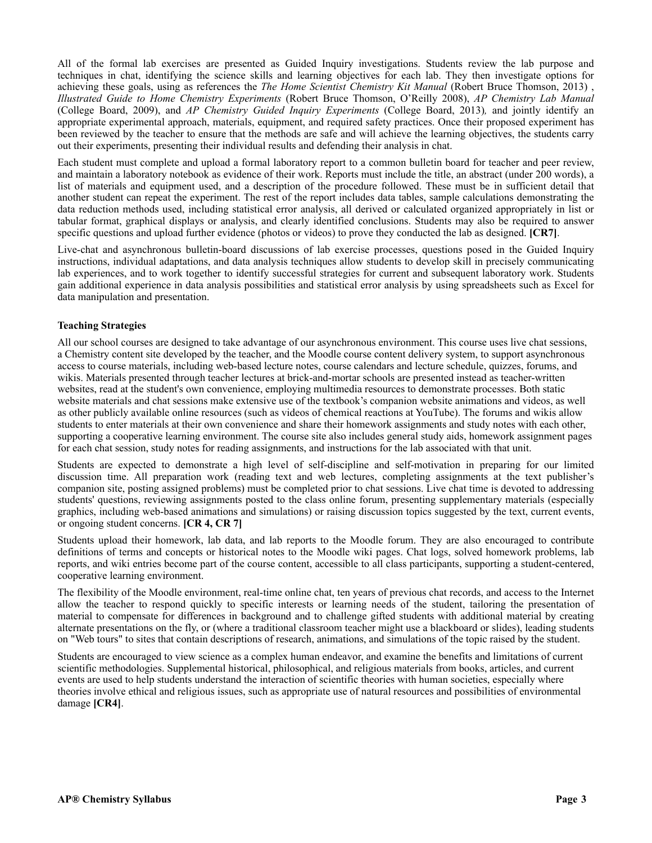All of the formal lab exercises are presented as Guided Inquiry investigations. Students review the lab purpose and techniques in chat, identifying the science skills and learning objectives for each lab. They then investigate options for achieving these goals, using as references the *The Home Scientist Chemistry Kit Manual* (Robert Bruce Thomson, 2013) , *Illustrated Guide to Home Chemistry Experiments* (Robert Bruce Thomson, O'Reilly 2008), *AP Chemistry Lab Manual* (College Board, 2009), and *AP Chemistry Guided Inquiry Experiments* (College Board, 2013)*,* and jointly identify an appropriate experimental approach, materials, equipment, and required safety practices. Once their proposed experiment has been reviewed by the teacher to ensure that the methods are safe and will achieve the learning objectives, the students carry out their experiments, presenting their individual results and defending their analysis in chat.

Each student must complete and upload a formal laboratory report to a common bulletin board for teacher and peer review, and maintain a laboratory notebook as evidence of their work. Reports must include the title, an abstract (under 200 words), a list of materials and equipment used, and a description of the procedure followed. These must be in sufficient detail that another student can repeat the experiment. The rest of the report includes data tables, sample calculations demonstrating the data reduction methods used, including statistical error analysis, all derived or calculated organized appropriately in list or tabular format, graphical displays or analysis, and clearly identified conclusions. Students may also be required to answer specific questions and upload further evidence (photos or videos) to prove they conducted the lab as designed. **[CR7]**.

Live-chat and asynchronous bulletin-board discussions of lab exercise processes, questions posed in the Guided Inquiry instructions, individual adaptations, and data analysis techniques allow students to develop skill in precisely communicating lab experiences, and to work together to identify successful strategies for current and subsequent laboratory work. Students gain additional experience in data analysis possibilities and statistical error analysis by using spreadsheets such as Excel for data manipulation and presentation.

# **Teaching Strategies**

All our school courses are designed to take advantage of our asynchronous environment. This course uses live chat sessions, a Chemistry content site developed by the teacher, and the Moodle course content delivery system, to support asynchronous access to course materials, including web-based lecture notes, course calendars and lecture schedule, quizzes, forums, and wikis. Materials presented through teacher lectures at brick-and-mortar schools are presented instead as teacher-written websites, read at the student's own convenience, employing multimedia resources to demonstrate processes. Both static website materials and chat sessions make extensive use of the textbook's companion website animations and videos, as well as other publicly available online resources (such as videos of chemical reactions at YouTube). The forums and wikis allow students to enter materials at their own convenience and share their homework assignments and study notes with each other, supporting a cooperative learning environment. The course site also includes general study aids, homework assignment pages for each chat session, study notes for reading assignments, and instructions for the lab associated with that unit.

Students are expected to demonstrate a high level of self-discipline and self-motivation in preparing for our limited discussion time. All preparation work (reading text and web lectures, completing assignments at the text publisher's companion site, posting assigned problems) must be completed prior to chat sessions. Live chat time is devoted to addressing students' questions, reviewing assignments posted to the class online forum, presenting supplementary materials (especially graphics, including web-based animations and simulations) or raising discussion topics suggested by the text, current events, or ongoing student concerns. **[CR 4, CR 7]** 

Students upload their homework, lab data, and lab reports to the Moodle forum. They are also encouraged to contribute definitions of terms and concepts or historical notes to the Moodle wiki pages. Chat logs, solved homework problems, lab reports, and wiki entries become part of the course content, accessible to all class participants, supporting a student-centered, cooperative learning environment.

The flexibility of the Moodle environment, real-time online chat, ten years of previous chat records, and access to the Internet allow the teacher to respond quickly to specific interests or learning needs of the student, tailoring the presentation of material to compensate for differences in background and to challenge gifted students with additional material by creating alternate presentations on the fly, or (where a traditional classroom teacher might use a blackboard or slides), leading students on "Web tours" to sites that contain descriptions of research, animations, and simulations of the topic raised by the student.

Students are encouraged to view science as a complex human endeavor, and examine the benefits and limitations of current scientific methodologies. Supplemental historical, philosophical, and religious materials from books, articles, and current events are used to help students understand the interaction of scientific theories with human societies, especially where theories involve ethical and religious issues, such as appropriate use of natural resources and possibilities of environmental damage **[CR4]**.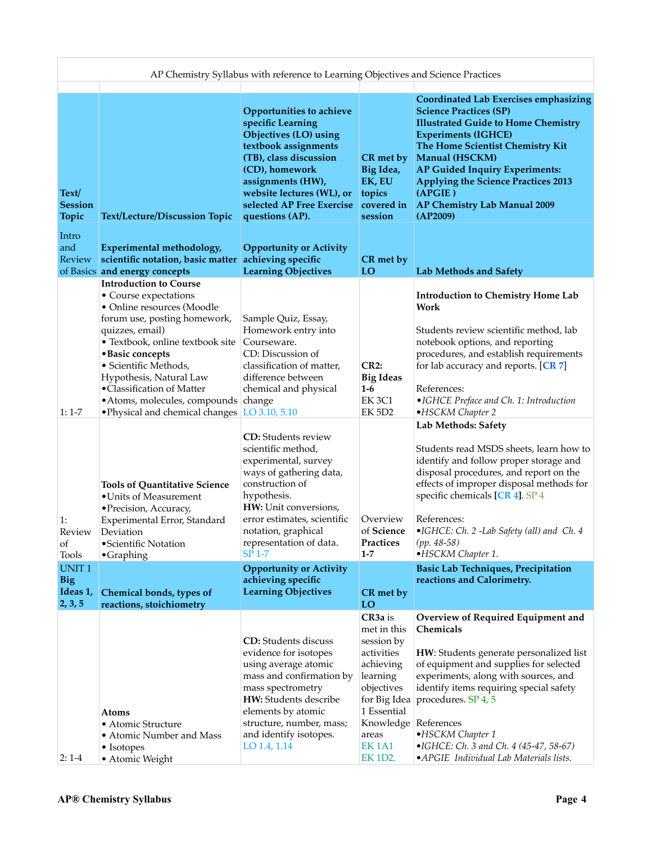|                                                   |                                                                                                                                                                                                                                                                                                                                                                           | AP Chemistry Syllabus with reference to Learning Objectives and Science Practices                                                                                                                                                                         |                                                                                                                                                                                       |                                                                                                                                                                                                                                                                                                                                                                       |
|---------------------------------------------------|---------------------------------------------------------------------------------------------------------------------------------------------------------------------------------------------------------------------------------------------------------------------------------------------------------------------------------------------------------------------------|-----------------------------------------------------------------------------------------------------------------------------------------------------------------------------------------------------------------------------------------------------------|---------------------------------------------------------------------------------------------------------------------------------------------------------------------------------------|-----------------------------------------------------------------------------------------------------------------------------------------------------------------------------------------------------------------------------------------------------------------------------------------------------------------------------------------------------------------------|
| Text/<br><b>Session</b><br>Topic                  | Text/Lecture/Discussion Topic                                                                                                                                                                                                                                                                                                                                             | Opportunities to achieve<br>specific Learning<br>Objectives (LO) using<br>textbook assignments<br>(TB), class discussion<br>(CD), homework<br>assignments (HW),<br>website lectures (WL), or<br>selected AP Free Exercise covered in<br>questions (AP).   | CR met by<br>Big Idea,<br>EK, EU<br>topics<br>session                                                                                                                                 | <b>Coordinated Lab Exercises emphasizing</b><br><b>Science Practices (SP)</b><br><b>Illustrated Guide to Home Chemistry</b><br><b>Experiments (IGHCE)</b><br>The Home Scientist Chemistry Kit<br>Manual (HSCKM)<br>AP Guided Inquiry Experiments:<br><b>Applying the Science Practices 2013</b><br>(APGIE)<br>AP Chemistry Lab Manual 2009<br>(AP2009)                |
| Intro<br>and<br>Review                            | Experimental methodology,<br>scientific notation, basic matter<br>of Basics and energy concepts                                                                                                                                                                                                                                                                           | <b>Opportunity or Activity</b><br>achieving specific<br><b>Learning Objectives</b>                                                                                                                                                                        | CR met by<br>LO                                                                                                                                                                       | Lab Methods and Safety                                                                                                                                                                                                                                                                                                                                                |
| $1:1-7$                                           | <b>Introduction to Course</b><br>• Course expectations<br>• Online resources (Moodle<br>forum use, posting homework,<br>quizzes, email)<br>• Textbook, online textbook site<br>· Basic concepts<br>· Scientific Methods,<br>Hypothesis, Natural Law<br>•Classification of Matter<br>• Atoms, molecules, compounds change<br>• Physical and chemical changes LO 3.10, 5.10 | Sample Quiz, Essay,<br>Homework entry into<br>Courseware.<br>CD: Discussion of<br>classification of matter,<br>difference between<br>chemical and physical<br><b>CD:</b> Students review                                                                  | <b>CR2:</b><br><b>Big Ideas</b><br>$1-6$<br><b>EK 3C1</b><br>EK 5D2                                                                                                                   | <b>Introduction to Chemistry Home Lab</b><br>Work<br>Students review scientific method, lab<br>notebook options, and reporting<br>procedures, and establish requirements<br>for lab accuracy and reports. [CR 7]<br>References:<br>•IGHCE Preface and Ch. 1: Introduction<br>·HSCKM Chapter 2<br>Lab Methods: Safety                                                  |
| 1:<br>Review<br>οf<br><b>Tools</b>                | <b>Tools of Quantitative Science</b><br>• Units of Measurement<br>• Precision, Accuracy,<br>Experimental Error, Standard<br>Deviation<br>·Scientific Notation<br>$\bullet$ Graphing                                                                                                                                                                                       | scientific method,<br>experimental, survey<br>ways of gathering data,<br>construction of<br>hypothesis.<br>HW: Unit conversions,<br>error estimates, scientific<br>notation, graphical<br>representation of data.<br><b>SP 1-7</b>                        | Overview<br>of Science<br>Practices<br>$1 - 7$                                                                                                                                        | Students read MSDS sheets, learn how to<br>identify and follow proper storage and<br>disposal procedures, and report on the<br>effects of improper disposal methods for<br>specific chemicals [CR 4]. SP 4<br>References:<br>·IGHCE: Ch. 2 -Lab Safety (all) and Ch. 4<br>$(pp. 48-58)$<br>·HSCKM Chapter 1.                                                          |
| <b>UNIT1</b><br><b>Big</b><br>Ideas 1,<br>2, 3, 5 | Chemical bonds, types of<br>reactions, stoichiometry                                                                                                                                                                                                                                                                                                                      | <b>Opportunity or Activity</b><br>achieving specific<br><b>Learning Objectives</b>                                                                                                                                                                        | CR met by<br>LO                                                                                                                                                                       | <b>Basic Lab Techniques, Precipitation</b><br>reactions and Calorimetry.                                                                                                                                                                                                                                                                                              |
| $2:1-4$                                           | Atoms<br>• Atomic Structure<br>• Atomic Number and Mass<br>• Isotopes<br>• Atomic Weight                                                                                                                                                                                                                                                                                  | <b>CD:</b> Students discuss<br>evidence for isotopes<br>using average atomic<br>mass and confirmation by<br>mass spectrometry<br><b>HW:</b> Students describe<br>elements by atomic<br>structure, number, mass;<br>and identify isotopes.<br>LO 1.4, 1.14 | CR <sub>3a</sub> is<br>met in this<br>session by<br>activities<br>achieving<br>learning<br>objectives<br>for Big Idea<br>1 Essential<br>Knowledge<br>areas<br><b>EK1A1</b><br>EK 1D2. | Overview of Required Equipment and<br>Chemicals<br>HW: Students generate personalized list<br>of equipment and supplies for selected<br>experiments, along with sources, and<br>identify items requiring special safety<br>procedures. SP 4, 5<br>References<br>•HSCKM Chapter 1<br>•IGHCE: Ch. 3 and Ch. 4 (45-47, 58-67)<br>• APGIE Individual Lab Materials lists. |

 $\overline{\phantom{a}}$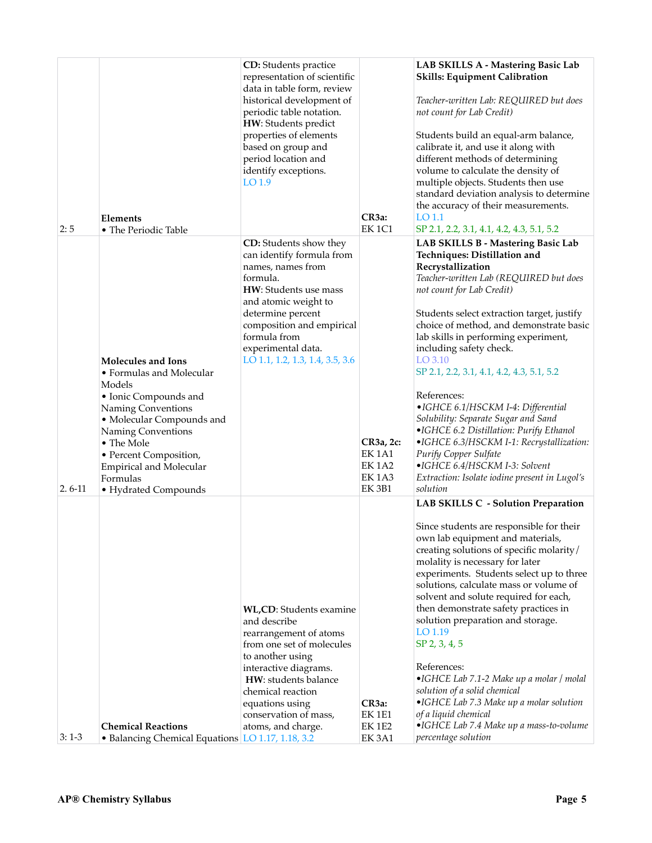|                   | Elements                                                                                                                                                                                                                                                                 | <b>CD:</b> Students practice<br>representation of scientific<br>data in table form, review<br>historical development of<br>periodic table notation.<br>HW: Students predict<br>properties of elements<br>based on group and<br>period location and<br>identify exceptions.<br>LO 1.9 | CR3a:                                                                        | LAB SKILLS A - Mastering Basic Lab<br>Skills: Equipment Calibration<br>Teacher-written Lab: REQUIRED but does<br>not count for Lab Credit)<br>Students build an equal-arm balance,<br>calibrate it, and use it along with<br>different methods of determining<br>volume to calculate the density of<br>multiple objects. Students then use<br>standard deviation analysis to determine<br>the accuracy of their measurements.<br>LO 1.1                                                                                                                                                                                                                                                                                                    |
|-------------------|--------------------------------------------------------------------------------------------------------------------------------------------------------------------------------------------------------------------------------------------------------------------------|--------------------------------------------------------------------------------------------------------------------------------------------------------------------------------------------------------------------------------------------------------------------------------------|------------------------------------------------------------------------------|--------------------------------------------------------------------------------------------------------------------------------------------------------------------------------------------------------------------------------------------------------------------------------------------------------------------------------------------------------------------------------------------------------------------------------------------------------------------------------------------------------------------------------------------------------------------------------------------------------------------------------------------------------------------------------------------------------------------------------------------|
| 2:5<br>$2.6 - 11$ | • The Periodic Table<br>Molecules and Ions<br>• Formulas and Molecular<br>Models<br>• Ionic Compounds and<br>Naming Conventions<br>• Molecular Compounds and<br>Naming Conventions<br>• The Mole<br>• Percent Composition,<br><b>Empirical and Molecular</b><br>Formulas | CD: Students show they<br>can identify formula from<br>names, names from<br>formula.<br>HW: Students use mass<br>and atomic weight to<br>determine percent<br>composition and empirical<br>formula from<br>experimental data.<br>LO 1.1, 1.2, 1.3, 1.4, 3.5, 3.6                     | <b>EK1C1</b><br>CR3a, 2c:<br>EK1A1<br><b>EK1A2</b><br><b>EK1A3</b><br>EK 3B1 | SP 2.1, 2.2, 3.1, 4.1, 4.2, 4.3, 5.1, 5.2<br>LAB SKILLS B - Mastering Basic Lab<br>Techniques: Distillation and<br>Recrystallization<br>Teacher-written Lab (REQUIRED but does<br>not count for Lab Credit)<br>Students select extraction target, justify<br>choice of method, and demonstrate basic<br>lab skills in performing experiment,<br>including safety check.<br>LO 3.10<br>SP 2.1, 2.2, 3.1, 4.1, 4.2, 4.3, 5.1, 5.2<br>References:<br>• IGHCE 6.1/HSCKM I-4: Differential<br>Solubility: Separate Sugar and Sand<br>•IGHCE 6.2 Distillation: Purify Ethanol<br>•IGHCE 6.3/HSCKM I-1: Recrystallization:<br>Purify Copper Sulfate<br>•IGHCE 6.4/HSCKM I-3: Solvent<br>Extraction: Isolate iodine present in Lugol's<br>solution |
| $3:1-3$           | • Hydrated Compounds<br><b>Chemical Reactions</b><br>• Balancing Chemical Equations LO 1.17, 1.18, 3.2                                                                                                                                                                   | WL,CD: Students examine<br>and describe<br>rearrangement of atoms<br>from one set of molecules<br>to another using<br>interactive diagrams.<br>HW: students balance<br>chemical reaction<br>equations using<br>conservation of mass,<br>atoms, and charge.                           | CR <sub>3a</sub> :<br><b>EK 1E1</b><br><b>EK1E2</b><br>EK3A1                 | LAB SKILLS C - Solution Preparation<br>Since students are responsible for their<br>own lab equipment and materials,<br>creating solutions of specific molarity/<br>molality is necessary for later<br>experiments. Students select up to three<br>solutions, calculate mass or volume of<br>solvent and solute required for each,<br>then demonstrate safety practices in<br>solution preparation and storage.<br>LO 1.19<br>SP 2, 3, 4, 5<br>References:<br>•IGHCE Lab 7.1-2 Make up a molar / molal<br>solution of a solid chemical<br>•IGHCE Lab 7.3 Make up a molar solution<br>of a liquid chemical<br>•IGHCE Lab 7.4 Make up a mass-to-volume<br>percentage solution                                                                 |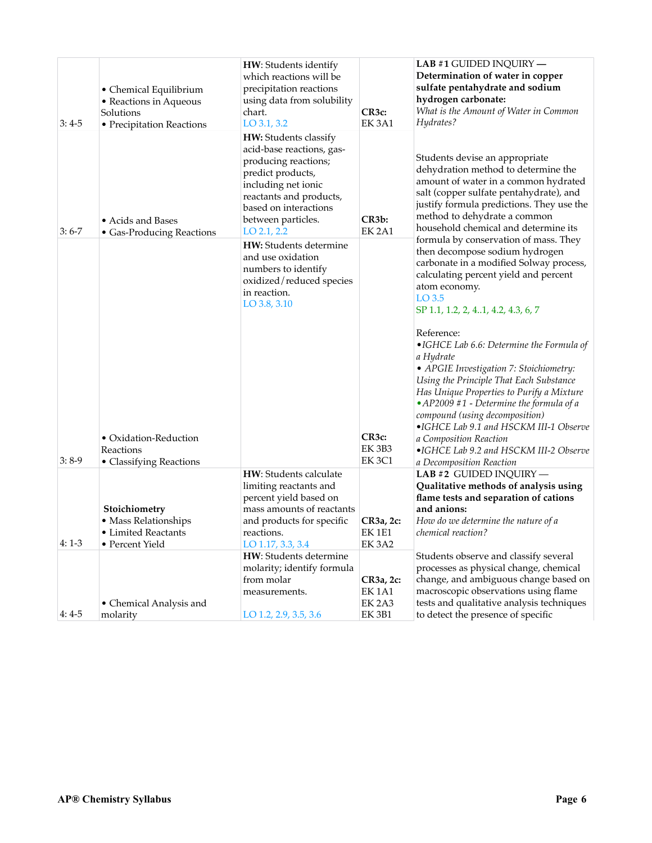| $3:4-5$ | • Chemical Equilibrium<br>• Reactions in Aqueous<br>Solutions<br>• Precipitation Reactions   | HW: Students identify<br>which reactions will be<br>precipitation reactions<br>using data from solubility<br>chart.<br>$LO$ 3.1, 3.2                                                                              | CR3c:<br>EK <sub>3A1</sub>                         | LAB #1 GUIDED INQUIRY $-$<br>Determination of water in copper<br>sulfate pentahydrate and sodium<br>hydrogen carbonate:<br>What is the Amount of Water in Common<br>Hydrates?                                                                                                                                                                                                                                                                                                                                                                                                     |
|---------|----------------------------------------------------------------------------------------------|-------------------------------------------------------------------------------------------------------------------------------------------------------------------------------------------------------------------|----------------------------------------------------|-----------------------------------------------------------------------------------------------------------------------------------------------------------------------------------------------------------------------------------------------------------------------------------------------------------------------------------------------------------------------------------------------------------------------------------------------------------------------------------------------------------------------------------------------------------------------------------|
| $3:6-7$ | • Acids and Bases<br>• Gas-Producing Reactions                                               | HW: Students classify<br>acid-base reactions, gas-<br>producing reactions;<br>predict products,<br>including net ionic<br>reactants and products,<br>based on interactions<br>between particles.<br>$LO$ 2.1, 2.2 | CR <sub>3</sub> b:<br><b>EK 2A1</b>                | Students devise an appropriate<br>dehydration method to determine the<br>amount of water in a common hydrated<br>salt (copper sulfate pentahydrate), and<br>justify formula predictions. They use the<br>method to dehydrate a common<br>household chemical and determine its                                                                                                                                                                                                                                                                                                     |
|         |                                                                                              | HW: Students determine<br>and use oxidation<br>numbers to identify<br>oxidized/reduced species<br>in reaction.<br>LO 3.8, 3.10                                                                                    |                                                    | formula by conservation of mass. They<br>then decompose sodium hydrogen<br>carbonate in a modified Solway process,<br>calculating percent yield and percent<br>atom economy.<br>$LO$ 3.5<br>SP 1.1, 1.2, 2, 41, 4.2, 4.3, 6, 7<br>Reference:<br>$\bullet$ IGHCE Lab 6.6: Determine the Formula of<br>a Hydrate<br>• APGIE Investigation 7: Stoichiometry:<br>Using the Principle That Each Substance<br>Has Unique Properties to Purify a Mixture<br>$\bullet$ AP2009 #1 - Determine the formula of a<br>compound (using decomposition)<br>•IGHCE Lab 9.1 and HSCKM III-1 Observe |
| $3:8-9$ | • Oxidation-Reduction<br>Reactions                                                           |                                                                                                                                                                                                                   | CR3c:<br>EK 3B3<br><b>EK3C1</b>                    | a Composition Reaction<br>•IGHCE Lab 9.2 and HSCKM III-2 Observe                                                                                                                                                                                                                                                                                                                                                                                                                                                                                                                  |
|         | • Classifying Reactions<br>Stoichiometry<br>• Mass Relationships<br><b>Limited Reactants</b> | HW: Students calculate<br>limiting reactants and<br>percent yield based on<br>mass amounts of reactants<br>and products for specific<br>reactions.                                                                | CR3a, 2c:<br>EK 1E1                                | a Decomposition Reaction<br>LAB #2 GUIDED INQUIRY -<br>Qualitative methods of analysis using<br>flame tests and separation of cations<br>and anions:<br>How do we determine the nature of a<br><i>chemical reaction?</i>                                                                                                                                                                                                                                                                                                                                                          |
| $4:1-3$ | • Percent Yield<br>• Chemical Analysis and                                                   | LO 1.17, 3.3, 3.4<br>HW: Students determine<br>molarity; identify formula<br>from molar<br>measurements.                                                                                                          | EK 3A2<br>CR3a, 2c:<br>EK 1A1<br>EK <sub>2A3</sub> | Students observe and classify several<br>processes as physical change, chemical<br>change, and ambiguous change based on<br>macroscopic observations using flame<br>tests and qualitative analysis techniques                                                                                                                                                                                                                                                                                                                                                                     |
| $4:4-5$ | molarity                                                                                     | LO 1.2, 2.9, 3.5, 3.6                                                                                                                                                                                             | EK 3B1                                             | to detect the presence of specific                                                                                                                                                                                                                                                                                                                                                                                                                                                                                                                                                |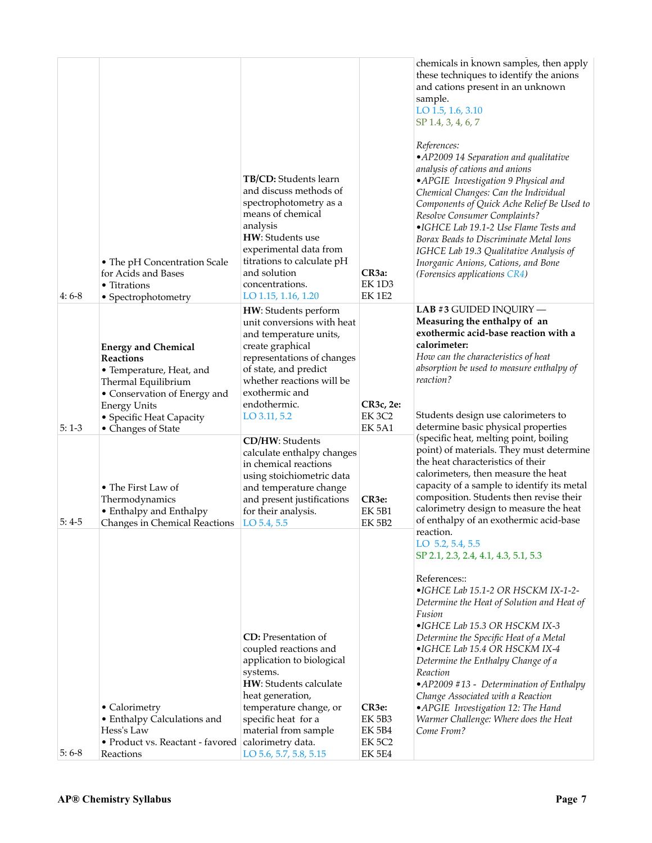| $4:6-8$ | • The pH Concentration Scale<br>for Acids and Bases<br>• Titrations<br>• Spectrophotometry                                                                                                                 | TB/CD: Students learn<br>and discuss methods of<br>spectrophotometry as a<br>means of chemical<br>analysis<br>HW: Students use<br>experimental data from<br>titrations to calculate pH<br>and solution<br>concentrations.<br>LO 1.15, 1.16, 1.20 | CR3a:<br>EK 1D3<br>EK 1E2                                                 | chemicals in known samples, then apply<br>these techniques to identify the anions<br>and cations present in an unknown<br>sample.<br>LO 1.5, 1.6, 3.10<br>SP 1.4, 3, 4, 6, 7<br>References:<br>•AP2009 14 Separation and qualitative<br>analysis of cations and anions<br>•APGIE Investigation 9 Physical and<br>Chemical Changes: Can the Individual<br>Components of Quick Ache Relief Be Used to<br>Resolve Consumer Complaints?<br>•IGHCE Lab 19.1-2 Use Flame Tests and<br>Borax Beads to Discriminate Metal Ions<br>IGHCE Lab 19.3 Qualitative Analysis of<br>Inorganic Anions, Cations, and Bone<br>(Forensics applications CR4) |
|---------|------------------------------------------------------------------------------------------------------------------------------------------------------------------------------------------------------------|--------------------------------------------------------------------------------------------------------------------------------------------------------------------------------------------------------------------------------------------------|---------------------------------------------------------------------------|-----------------------------------------------------------------------------------------------------------------------------------------------------------------------------------------------------------------------------------------------------------------------------------------------------------------------------------------------------------------------------------------------------------------------------------------------------------------------------------------------------------------------------------------------------------------------------------------------------------------------------------------|
| $5:1-3$ | <b>Energy and Chemical</b><br><b>Reactions</b><br>• Temperature, Heat, and<br>Thermal Equilibrium<br>• Conservation of Energy and<br><b>Energy Units</b><br>• Specific Heat Capacity<br>• Changes of State | HW: Students perform<br>unit conversions with heat<br>and temperature units,<br>create graphical<br>representations of changes<br>of state, and predict<br>whether reactions will be<br>exothermic and<br>endothermic.<br>LO 3.11, 5.2           | CR3c, 2e:<br>EK 3C2<br>EK 5A1                                             | LAB #3 GUIDED INQUIRY -<br>Measuring the enthalpy of an<br>exothermic acid-base reaction with a<br>calorimeter:<br>How can the characteristics of heat<br>absorption be used to measure enthalpy of<br>reaction?<br>Students design use calorimeters to<br>determine basic physical properties                                                                                                                                                                                                                                                                                                                                          |
| $5:4-5$ | • The First Law of<br>Thermodynamics<br>• Enthalpy and Enthalpy<br>Changes in Chemical Reactions                                                                                                           | CD/HW: Students<br>calculate enthalpy changes<br>in chemical reactions<br>using stoichiometric data<br>and temperature change<br>and present justifications<br>for their analysis.<br>LO 5.4, 5.5                                                | CR3e:<br><b>EK 5B1</b><br><b>EK 5B2</b>                                   | (specific heat, melting point, boiling<br>point) of materials. They must determine<br>the heat characteristics of their<br>calorimeters, then measure the heat<br>capacity of a sample to identify its metal<br>composition. Students then revise their<br>calorimetry design to measure the heat<br>of enthalpy of an exothermic acid-base<br>reaction.<br>LO 5.2, 5.4, 5.5<br>SP 2.1, 2.3, 2.4, 4.1, 4.3, 5.1, 5.3                                                                                                                                                                                                                    |
| $5:6-8$ | • Calorimetry<br>• Enthalpy Calculations and<br>Hess's Law<br>• Product vs. Reactant - favored calorimetry data.<br>Reactions                                                                              | <b>CD</b> : Presentation of<br>coupled reactions and<br>application to biological<br>systems.<br>HW: Students calculate<br>heat generation,<br>temperature change, or<br>specific heat for a<br>material from sample<br>LO 5.6, 5.7, 5.8, 5.15   | CR3e:<br><b>EK 5B3</b><br><b>EK 5B4</b><br><b>EK 5C2</b><br><b>EK 5E4</b> | References::<br>•IGHCE Lab 15.1-2 OR HSCKM IX-1-2-<br>Determine the Heat of Solution and Heat of<br>Fusion<br>•IGHCE Lab 15.3 OR HSCKM IX-3<br>Determine the Specific Heat of a Metal<br>•IGHCE Lab 15.4 OR HSCKM IX-4<br>Determine the Enthalpy Change of a<br>Reaction<br>•AP2009 #13 - Determination of Enthalpy<br>Change Associated with a Reaction<br>•APGIE Investigation 12: The Hand<br>Warmer Challenge: Where does the Heat<br>Come From?                                                                                                                                                                                    |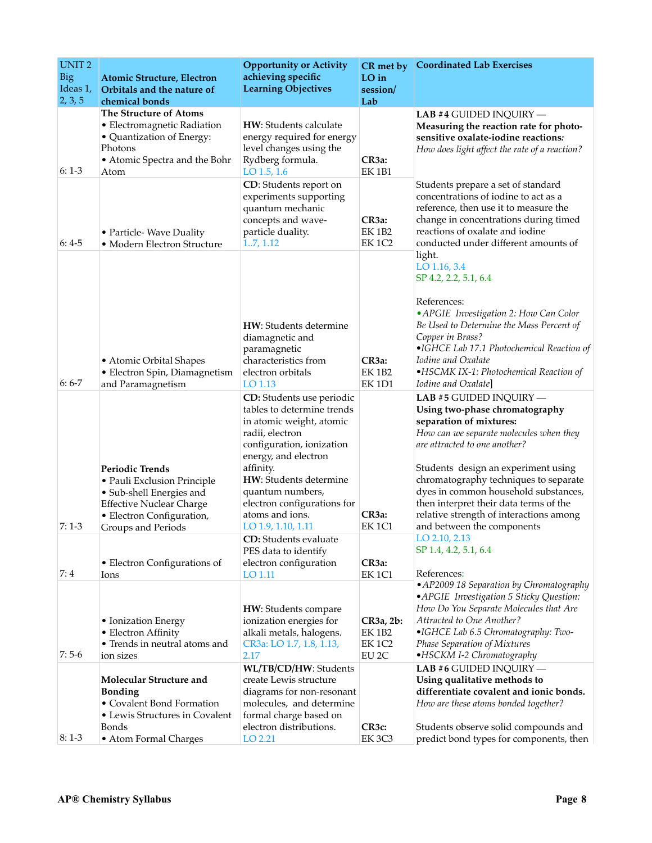| <b>UNIT2</b><br>Big<br>Ideas 1,<br>2, 3, 5 | <b>Atomic Structure, Electron</b><br>Orbitals and the nature of<br>chemical bonds                                                                                       | <b>Opportunity or Activity</b><br>achieving specific<br><b>Learning Objectives</b>                                                                                                                                                                                                             | CR met by<br>$LO$ in<br>session/<br>Lab                           | <b>Coordinated Lab Exercises</b>                                                                                                                                                                                                                                                                                                                                                                            |
|--------------------------------------------|-------------------------------------------------------------------------------------------------------------------------------------------------------------------------|------------------------------------------------------------------------------------------------------------------------------------------------------------------------------------------------------------------------------------------------------------------------------------------------|-------------------------------------------------------------------|-------------------------------------------------------------------------------------------------------------------------------------------------------------------------------------------------------------------------------------------------------------------------------------------------------------------------------------------------------------------------------------------------------------|
| $6:1-3$                                    | The Structure of Atoms<br>• Electromagnetic Radiation<br>• Quantization of Energy:<br>Photons<br>• Atomic Spectra and the Bohr<br>Atom                                  | HW: Students calculate<br>energy required for energy<br>level changes using the<br>Rydberg formula.<br>LO $1.5, 1.6$                                                                                                                                                                           | CR <sub>3a</sub> :<br><b>EK1B1</b>                                | LAB #4 GUIDED INQUIRY $-$<br>Measuring the reaction rate for photo-<br>sensitive oxalate-iodine reactions:<br>How does light affect the rate of a reaction?                                                                                                                                                                                                                                                 |
| $6:4-5$                                    | • Particle-Wave Duality<br>• Modern Electron Structure                                                                                                                  | CD: Students report on<br>experiments supporting<br>quantum mechanic<br>concepts and wave-<br>particle duality.<br>1.7, 1.12                                                                                                                                                                   | CR3a:<br><b>EK1B2</b><br>EK 1C2                                   | Students prepare a set of standard<br>concentrations of iodine to act as a<br>reference, then use it to measure the<br>change in concentrations during timed<br>reactions of oxalate and iodine<br>conducted under different amounts of                                                                                                                                                                     |
| $6:6-7$                                    | • Atomic Orbital Shapes<br>• Electron Spin, Diamagnetism<br>and Paramagnetism                                                                                           | HW: Students determine<br>diamagnetic and<br>paramagnetic<br>characteristics from<br>electron orbitals<br>LO 1.13                                                                                                                                                                              | CR3a:<br><b>EK1B2</b><br><b>EK 1D1</b>                            | light.<br>LO 1.16, 3.4<br>SP 4.2, 2.2, 5.1, 6.4<br>References:<br>• APGIE Investigation 2: How Can Color<br>Be Used to Determine the Mass Percent of<br>Copper in Brass?<br>•IGHCE Lab 17.1 Photochemical Reaction of<br><i>Iodine and Oxalate</i><br>•HSCMK IX-1: Photochemical Reaction of<br>Iodine and Oxalate                                                                                          |
| $7:1-3$                                    | <b>Periodic Trends</b><br>· Pauli Exclusion Principle<br>• Sub-shell Energies and<br><b>Effective Nuclear Charge</b><br>• Electron Configuration,<br>Groups and Periods | CD: Students use periodic<br>tables to determine trends<br>in atomic weight, atomic<br>radii, electron<br>configuration, ionization<br>energy, and electron<br>affinity.<br>HW: Students determine<br>quantum numbers,<br>electron configurations for<br>atoms and ions.<br>LO 1.9, 1.10, 1.11 | CR <sub>3a</sub> :<br><b>EK1C1</b>                                | LAB #5 GUIDED INQUIRY -<br>Using two-phase chromatography<br>separation of mixtures:<br>How can we separate molecules when they<br>are attracted to one another?<br>Students design an experiment using<br>chromatography techniques to separate<br>dyes in common household substances,<br>then interpret their data terms of the<br>relative strength of interactions among<br>and between the components |
| 7:4                                        | • Electron Configurations of<br>lons                                                                                                                                    | <b>CD</b> : Students evaluate<br>PES data to identify<br>electron configuration<br>LO 1.11                                                                                                                                                                                                     | CR <sub>3a</sub> :<br>EK <sub>1</sub> C <sub>1</sub>              | LO 2.10, 2.13<br>SP 1.4, 4.2, 5.1, 6.4<br>References:                                                                                                                                                                                                                                                                                                                                                       |
| $7:5-6$                                    | • Ionization Energy<br>• Electron Affinity<br>• Trends in neutral atoms and<br>ion sizes                                                                                | HW: Students compare<br>ionization energies for<br>alkali metals, halogens.<br>CR3a: LO 1.7, 1.8, 1.13,<br>2.17                                                                                                                                                                                | $CR3a, 2b$ :<br><b>EK 1B2</b><br><b>EK1C2</b><br>EU <sub>2C</sub> | • AP2009 18 Separation by Chromatography<br>• APGIE Investigation 5 Sticky Question:<br>How Do You Separate Molecules that Are<br>Attracted to One Another?<br>•IGHCE Lab 6.5 Chromatography: Two-<br>Phase Separation of Mixtures<br>•HSCKM I-2 Chromatography                                                                                                                                             |
| $8:1-3$                                    | Molecular Structure and<br><b>Bonding</b><br>• Covalent Bond Formation<br>• Lewis Structures in Covalent<br>Bonds<br>• Atom Formal Charges                              | WL/TB/CD/HW: Students<br>create Lewis structure<br>diagrams for non-resonant<br>molecules, and determine<br>formal charge based on<br>electron distributions.<br>LO 2.21                                                                                                                       | CR <sub>3</sub> c:<br>EK 3C3                                      | LAB #6 GUIDED INQUIRY -<br>Using qualitative methods to<br>differentiate covalent and ionic bonds.<br>How are these atoms bonded together?<br>Students observe solid compounds and<br>predict bond types for components, then                                                                                                                                                                               |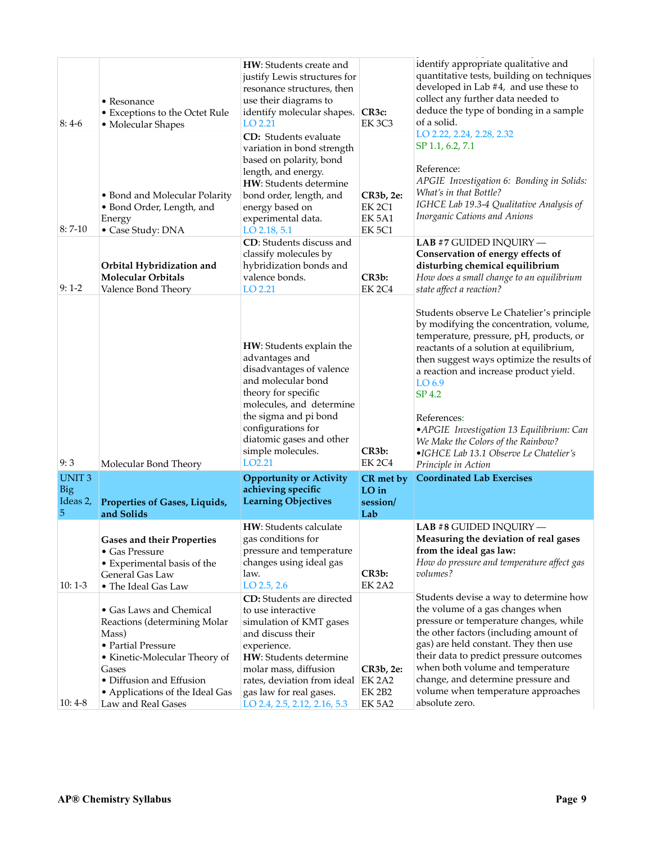| $8:4-6$                                     | • Resonance<br>• Exceptions to the Octet Rule<br>• Molecular Shapes<br>• Bond and Molecular Polarity<br>• Bond Order, Length, and<br>Energy                                                                           | HW: Students create and<br>justify Lewis structures for<br>resonance structures, then<br>use their diagrams to<br>identify molecular shapes.<br>LO 2.21<br>CD: Students evaluate<br>variation in bond strength<br>based on polarity, bond<br>length, and energy.<br>HW: Students determine<br>bond order, length, and<br>energy based on<br>experimental data. | CR3c:<br><b>EK 3C3</b><br>CR3b, 2e:<br>EK <sub>2C1</sub><br>EK 5A1 | identify appropriate qualitative and<br>quantitative tests, building on techniques<br>developed in Lab #4, and use these to<br>collect any further data needed to<br>deduce the type of bonding in a sample<br>of a solid.<br>LO 2.22, 2.24, 2.28, 2.32<br>SP 1.1, 6.2, 7.1<br>Reference:<br>APGIE Investigation 6: Bonding in Solids:<br><i>What's in that Bottle?</i><br>IGHCE Lab 19.3-4 Qualitative Analysis of<br>Inorganic Cations and Anions                 |
|---------------------------------------------|-----------------------------------------------------------------------------------------------------------------------------------------------------------------------------------------------------------------------|----------------------------------------------------------------------------------------------------------------------------------------------------------------------------------------------------------------------------------------------------------------------------------------------------------------------------------------------------------------|--------------------------------------------------------------------|---------------------------------------------------------------------------------------------------------------------------------------------------------------------------------------------------------------------------------------------------------------------------------------------------------------------------------------------------------------------------------------------------------------------------------------------------------------------|
| $8:7-10$<br>$9:1-2$                         | • Case Study: DNA<br>Orbital Hybridization and<br><b>Molecular Orbitals</b><br>Valence Bond Theory                                                                                                                    | LO 2.18, 5.1<br>CD: Students discuss and<br>classify molecules by<br>hybridization bonds and<br>valence bonds.<br>LO 2.21                                                                                                                                                                                                                                      | EK <sub>5C1</sub><br>CR3b:<br>EK <sub>2</sub> C <sub>4</sub>       | LAB #7 GUIDED INQUIRY -<br>Conservation of energy effects of<br>disturbing chemical equilibrium<br>How does a small change to an equilibrium<br>state affect a reaction?                                                                                                                                                                                                                                                                                            |
| 9:3                                         | Molecular Bond Theory                                                                                                                                                                                                 | HW: Students explain the<br>advantages and<br>disadvantages of valence<br>and molecular bond<br>theory for specific<br>molecules, and determine<br>the sigma and pi bond<br>configurations for<br>diatomic gases and other<br>simple molecules.<br>LO <sub>2.21</sub>                                                                                          | CR <sub>3</sub> b:<br>EK <sub>2</sub> C <sub>4</sub>               | Students observe Le Chatelier's principle<br>by modifying the concentration, volume,<br>temperature, pressure, pH, products, or<br>reactants of a solution at equilibrium,<br>then suggest ways optimize the results of<br>a reaction and increase product yield.<br>LO <sub>6.9</sub><br>SP 4.2<br>References:<br>• APGIE Investigation 13 Equilibrium: Can<br>We Make the Colors of the Rainbow?<br>•IGHCE Lab 13.1 Observe Le Chatelier's<br>Principle in Action |
| <b>UNIT3</b><br><b>Big</b><br>Ideas 2,<br>5 | Properties of Gases, Liquids,<br>and Solids                                                                                                                                                                           | <b>Opportunity or Activity</b><br>achieving specific<br><b>Learning Objectives</b>                                                                                                                                                                                                                                                                             | CR met by<br>$LO$ in<br>session/<br>Lab                            | <b>Coordinated Lab Exercises</b>                                                                                                                                                                                                                                                                                                                                                                                                                                    |
| $10:1-3$                                    | <b>Gases and their Properties</b><br>• Gas Pressure<br>• Experimental basis of the<br>General Gas Law<br>• The Ideal Gas Law                                                                                          | HW: Students calculate<br>gas conditions for<br>pressure and temperature<br>changes using ideal gas<br>law.<br>$LO$ 2.5, 2.6                                                                                                                                                                                                                                   | CR <sub>3</sub> b:<br><b>EK 2A2</b>                                | LAB #8 GUIDED INQUIRY -<br>Measuring the deviation of real gases<br>from the ideal gas law:<br>How do pressure and temperature affect gas<br>volumes?                                                                                                                                                                                                                                                                                                               |
| $10:4-8$                                    | • Gas Laws and Chemical<br>Reactions (determining Molar<br>Mass)<br>• Partial Pressure<br>• Kinetic-Molecular Theory of<br>Gases<br>• Diffusion and Effusion<br>• Applications of the Ideal Gas<br>Law and Real Gases | <b>CD:</b> Students are directed<br>to use interactive<br>simulation of KMT gases<br>and discuss their<br>experience.<br>HW: Students determine<br>molar mass, diffusion<br>rates, deviation from ideal EK 2A2<br>gas law for real gases.<br>LO 2.4, 2.5, 2.12, 2.16, 5.3                                                                                      | CR3b, 2e:<br><b>EK 2B2</b><br><b>EK 5A2</b>                        | Students devise a way to determine how<br>the volume of a gas changes when<br>pressure or temperature changes, while<br>the other factors (including amount of<br>gas) are held constant. They then use<br>their data to predict pressure outcomes<br>when both volume and temperature<br>change, and determine pressure and<br>volume when temperature approaches<br>absolute zero.                                                                                |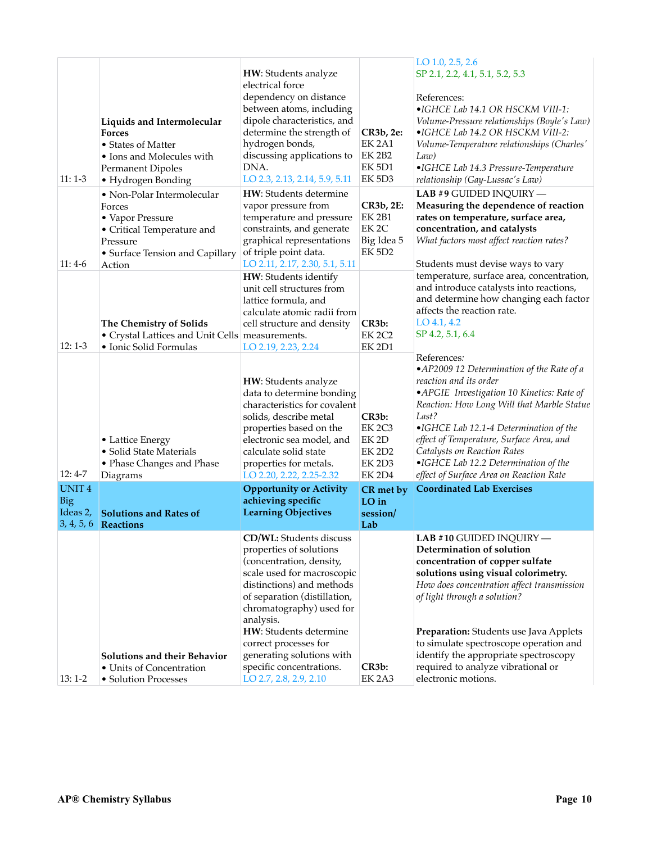| $11:1-3$                   | Liquids and Intermolecular<br><b>Forces</b><br>• States of Matter<br>• Ions and Molecules with<br><b>Permanent Dipoles</b><br>• Hydrogen Bonding | HW: Students analyze<br>electrical force<br>dependency on distance<br>between atoms, including<br>dipole characteristics, and<br>determine the strength of<br>hydrogen bonds,<br>discussing applications to<br>DNA.<br>LO 2.3, 2.13, 2.14, 5.9, 5.11                                                                                                     | CR3b, 2e:<br><b>EK 2A1</b><br><b>EK 2B2</b><br><b>EK 5D1</b><br>EK 5D3                                  | LO 1.0, 2.5, 2.6<br>SP 2.1, 2.2, 4.1, 5.1, 5.2, 5.3<br>References:<br>•IGHCE Lab 14.1 OR HSCKM VIII-1:<br>Volume-Pressure relationships (Boyle's Law)<br>•IGHCE Lab 14.2 OR HSCKM VIII-2:<br>Volume-Temperature relationships (Charles'<br>$Law$ )<br>•IGHCE Lab 14.3 Pressure-Temperature<br>relationship (Gay-Lussac's Law)                                                                           |
|----------------------------|--------------------------------------------------------------------------------------------------------------------------------------------------|----------------------------------------------------------------------------------------------------------------------------------------------------------------------------------------------------------------------------------------------------------------------------------------------------------------------------------------------------------|---------------------------------------------------------------------------------------------------------|---------------------------------------------------------------------------------------------------------------------------------------------------------------------------------------------------------------------------------------------------------------------------------------------------------------------------------------------------------------------------------------------------------|
| $11:4-6$                   | · Non-Polar Intermolecular<br>Forces<br>• Vapor Pressure<br>• Critical Temperature and<br>Pressure<br>• Surface Tension and Capillary<br>Action  | HW: Students determine<br>vapor pressure from<br>temperature and pressure<br>constraints, and generate<br>graphical representations<br>of triple point data.<br>LO 2.11, 2.17, 2.30, 5.1, 5.11                                                                                                                                                           | CR3b, 2E:<br>EK 2B1<br>EK <sub>2C</sub><br>Big Idea 5<br><b>EK 5D2</b>                                  | LAB #9 GUIDED INQUIRY -<br>Measuring the dependence of reaction<br>rates on temperature, surface area,<br>concentration, and catalysts<br>What factors most affect reaction rates?<br>Students must devise ways to vary                                                                                                                                                                                 |
| $12:1-3$                   | The Chemistry of Solids<br>• Crystal Lattices and Unit Cells   measurements.<br>· Ionic Solid Formulas                                           | HW: Students identify<br>unit cell structures from<br>lattice formula, and<br>calculate atomic radii from<br>cell structure and density<br>LO 2.19, 2.23, 2.24                                                                                                                                                                                           | CR <sub>3</sub> b:<br><b>EK 2C2</b><br><b>EK 2D1</b>                                                    | temperature, surface area, concentration,<br>and introduce catalysts into reactions,<br>and determine how changing each factor<br>affects the reaction rate.<br>$LO$ 4.1, 4.2<br>SP 4.2, 5.1, 6.4                                                                                                                                                                                                       |
| $12:4-7$                   | • Lattice Energy<br>• Solid State Materials<br>• Phase Changes and Phase<br>Diagrams                                                             | HW: Students analyze<br>data to determine bonding<br>characteristics for covalent<br>solids, describe metal<br>properties based on the<br>electronic sea model, and<br>calculate solid state<br>properties for metals.<br>LO 2.20, 2.22, 2.25-2.32                                                                                                       | CR <sub>3</sub> b:<br><b>EK 2C3</b><br>EK <sub>2D</sub><br><b>EK 2D2</b><br>EK 2D3<br>EK <sub>2D4</sub> | References:<br>•AP2009 12 Determination of the Rate of a<br>reaction and its order<br>•APGIE Investigation 10 Kinetics: Rate of<br>Reaction: How Long Will that Marble Statue<br>Last?<br>•IGHCE Lab 12.1-4 Determination of the<br>effect of Temperature, Surface Area, and<br>Catalysts on Reaction Rates<br>•IGHCE Lab 12.2 Determination of the<br>effect of Surface Area on Reaction Rate          |
| <b>UNIT4</b><br><b>Big</b> | Ideas 2, Solutions and Rates of<br>3, 4, 5, 6 Reactions                                                                                          | <b>Opportunity or Activity</b><br>achieving specific<br><b>Learning Objectives</b>                                                                                                                                                                                                                                                                       | CR met by<br>$LO$ in<br>session/<br>Lab                                                                 | <b>Coordinated Lab Exercises</b>                                                                                                                                                                                                                                                                                                                                                                        |
| $13:1-2$                   | Solutions and their Behavior<br>• Units of Concentration<br>• Solution Processes                                                                 | CD/WL: Students discuss<br>properties of solutions<br>(concentration, density,<br>scale used for macroscopic<br>distinctions) and methods<br>of separation (distillation,<br>chromatography) used for<br>analysis.<br>HW: Students determine<br>correct processes for<br>generating solutions with<br>specific concentrations.<br>LO 2.7, 2.8, 2.9, 2.10 | CR3b:<br>EK <sub>2</sub> A <sub>3</sub>                                                                 | LAB #10 GUIDED INQUIRY -<br>Determination of solution<br>concentration of copper sulfate<br>solutions using visual colorimetry.<br>How does concentration affect transmission<br>of light through a solution?<br>Preparation: Students use Java Applets<br>to simulate spectroscope operation and<br>identify the appropriate spectroscopy<br>required to analyze vibrational or<br>electronic motions. |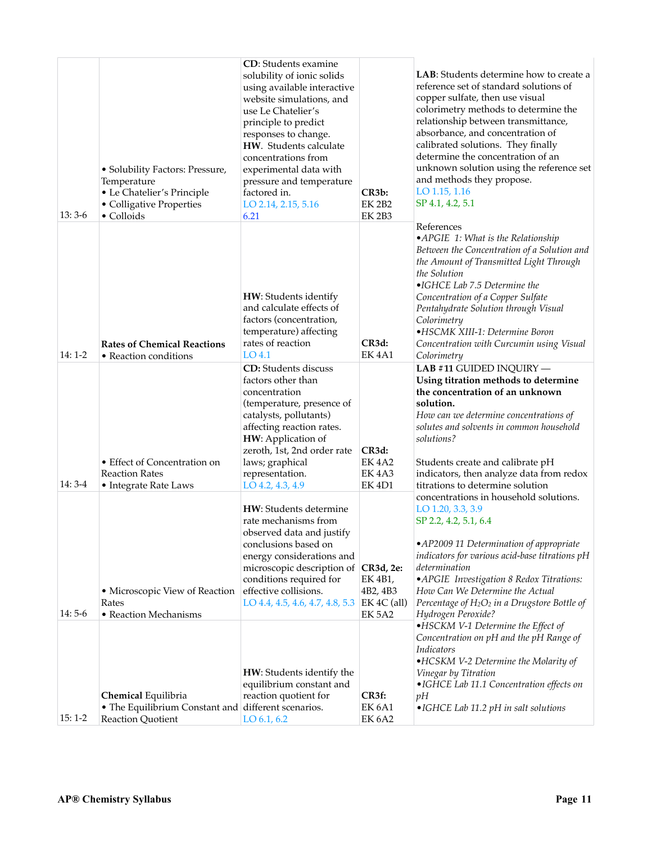| $13:3-6$ | • Solubility Factors: Pressure,<br>Temperature<br>• Le Chatelier's Principle<br>• Colligative Properties<br>• Colloids | <b>CD</b> : Students examine<br>solubility of ionic solids<br>using available interactive<br>website simulations, and<br>use Le Chatelier's<br>principle to predict<br>responses to change.<br>HW. Students calculate<br>concentrations from<br>experimental data with<br>pressure and temperature<br>factored in.<br>LO 2.14, 2.15, 5.16<br>6.21 | CR3b:<br><b>EK 2B2</b><br><b>EK 2B3</b>               | LAB: Students determine how to create a<br>reference set of standard solutions of<br>copper sulfate, then use visual<br>colorimetry methods to determine the<br>relationship between transmittance,<br>absorbance, and concentration of<br>calibrated solutions. They finally<br>determine the concentration of an<br>unknown solution using the reference set<br>and methods they propose.<br>LO 1.15, 1.16<br>SP 4.1, 4.2, 5.1 |
|----------|------------------------------------------------------------------------------------------------------------------------|---------------------------------------------------------------------------------------------------------------------------------------------------------------------------------------------------------------------------------------------------------------------------------------------------------------------------------------------------|-------------------------------------------------------|----------------------------------------------------------------------------------------------------------------------------------------------------------------------------------------------------------------------------------------------------------------------------------------------------------------------------------------------------------------------------------------------------------------------------------|
| 14: 1-2  | <b>Rates of Chemical Reactions</b><br>• Reaction conditions                                                            | HW: Students identify<br>and calculate effects of<br>factors (concentration,<br>temperature) affecting<br>rates of reaction<br>LO <sub>4.1</sub>                                                                                                                                                                                                  | CR3d:<br>EK4A1                                        | References<br>•APGIE 1: What is the Relationship<br>Between the Concentration of a Solution and<br>the Amount of Transmitted Light Through<br>the Solution<br>•IGHCE Lab 7.5 Determine the<br>Concentration of a Copper Sulfate<br>Pentahydrate Solution through Visual<br>Colorimetry<br>•HSCMK XIII-1: Determine Boron<br>Concentration with Curcumin using Visual<br>Colorimetry                                              |
| $14:3-4$ | • Effect of Concentration on<br><b>Reaction Rates</b><br>• Integrate Rate Laws                                         | <b>CD:</b> Students discuss<br>factors other than<br>concentration<br>(temperature, presence of<br>catalysts, pollutants)<br>affecting reaction rates.<br>HW: Application of<br>zeroth, 1st, 2nd order rate<br>laws; graphical<br>representation.<br>LO 4.2, 4.3, 4.9                                                                             | CR3d:<br><b>EK4A2</b><br>EK4A3<br>EK 4D1              | LAB #11 GUIDED INQUIRY -<br>Using titration methods to determine<br>the concentration of an unknown<br>solution.<br>How can we determine concentrations of<br>solutes and solvents in common household<br>solutions?<br>Students create and calibrate pH<br>indicators, then analyze data from redox<br>titrations to determine solution                                                                                         |
| $14:5-6$ | • Microscopic View of Reaction<br>Rates<br>• Reaction Mechanisms                                                       | <b>HW</b> : Students determine<br>rate mechanisms from<br>observed data and justify<br>conclusions based on<br>energy considerations and<br>microscopic description of CR3d, 2e:<br>conditions required for<br>effective collisions.<br>LO 4.4, 4.5, 4.6, 4.7, 4.8, 5.3                                                                           | EK 4B1,<br>4B2, 4B3<br>$EK 4C$ (all)<br><b>EK 5A2</b> | concentrations in household solutions.<br>$LO$ 1.20, 3.3, 3.9<br>SP 2.2, 4.2, 5.1, 6.4<br>•AP2009 11 Determination of appropriate<br>indicators for various acid-base titrations pH<br>determination<br>• APGIE Investigation 8 Redox Titrations:<br>How Can We Determine the Actual<br>Percentage of H <sub>2</sub> O <sub>2</sub> in a Drugstore Bottle of<br>Hydrogen Peroxide?                                               |
| $15:1-2$ | Chemical Equilibria<br>• The Equilibrium Constant and different scenarios.<br>Reaction Quotient                        | HW: Students identify the<br>equilibrium constant and<br>reaction quotient for<br>LO 6.1, 6.2                                                                                                                                                                                                                                                     | CR3f:<br>EK <sub>6A1</sub><br><b>EK 6A2</b>           | •HSCKM V-1 Determine the Effect of<br>Concentration on pH and the pH Range of<br>Indicators<br>•HCSKM V-2 Determine the Molarity of<br>Vinegar by Titration<br>•IGHCE Lab 11.1 Concentration effects on<br>pH<br>• IGHCE Lab 11.2 pH in salt solutions                                                                                                                                                                           |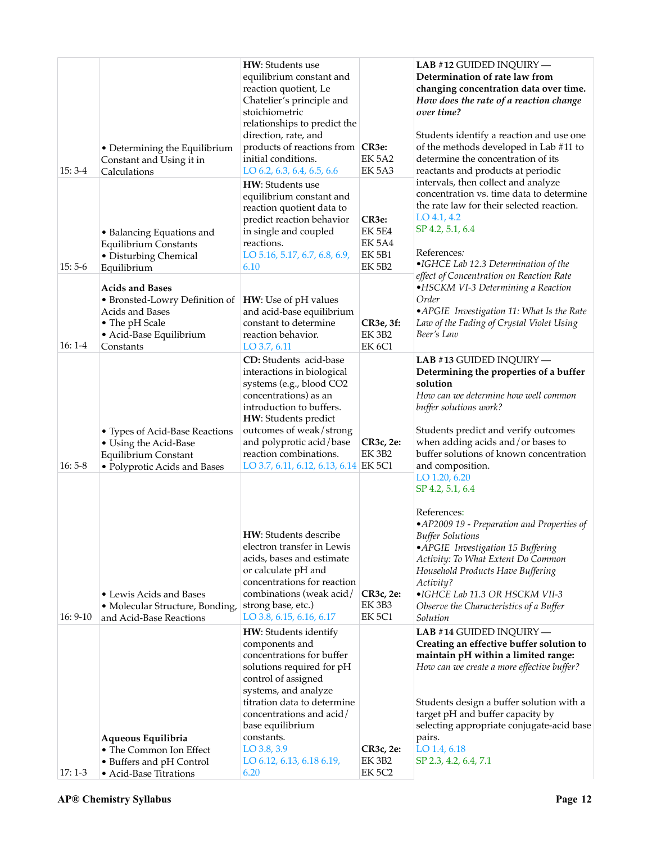| $15:3-4$   | • Determining the Equilibrium<br>Constant and Using it in<br>Calculations                                                             | HW: Students use<br>equilibrium constant and<br>reaction quotient, Le<br>Chatelier's principle and<br>stoichiometric<br>relationships to predict the<br>direction, rate, and<br>products of reactions from CR3e:<br>initial conditions.<br>LO 6.2, 6.3, 6.4, 6.5, 6.6                               | <b>EK 5A2</b><br>EK 5A3                                            | LAB #12 GUIDED INQUIRY -<br>Determination of rate law from<br>changing concentration data over time.<br>How does the rate of a reaction change<br>over time?<br>Students identify a reaction and use one<br>of the methods developed in Lab #11 to<br>determine the concentration of its<br>reactants and products at periodic                   |
|------------|---------------------------------------------------------------------------------------------------------------------------------------|-----------------------------------------------------------------------------------------------------------------------------------------------------------------------------------------------------------------------------------------------------------------------------------------------------|--------------------------------------------------------------------|--------------------------------------------------------------------------------------------------------------------------------------------------------------------------------------------------------------------------------------------------------------------------------------------------------------------------------------------------|
| $15:5-6$   | • Balancing Equations and<br><b>Equilibrium Constants</b><br>• Disturbing Chemical<br>Equilibrium                                     | HW: Students use<br>equilibrium constant and<br>reaction quotient data to<br>predict reaction behavior<br>in single and coupled<br>reactions.<br>LO 5.16, 5.17, 6.7, 6.8, 6.9,<br>6.10                                                                                                              | CR3e:<br><b>EK 5E4</b><br><b>EK 5A4</b><br><b>EK 5B1</b><br>EK 5B2 | intervals, then collect and analyze<br>concentration vs. time data to determine<br>the rate law for their selected reaction.<br>$LO$ 4.1, 4.2<br>SP 4.2, 5.1, 6.4<br>References:<br>•IGHCE Lab 12.3 Determination of the                                                                                                                         |
| $16:1-4$   | <b>Acids and Bases</b><br>• Bronsted-Lowry Definition of<br>Acids and Bases<br>• The pH Scale<br>• Acid-Base Equilibrium<br>Constants | HW: Use of pH values<br>and acid-base equilibrium<br>constant to determine<br>reaction behavior.<br>LO 3.7, 6.11                                                                                                                                                                                    | CR3e, 3f:<br><b>EK 3B2</b><br>EK <sub>6</sub> C1                   | effect of Concentration on Reaction Rate<br>•HSCKM VI-3 Determining a Reaction<br>Order<br>•APGIE Investigation 11: What Is the Rate<br>Law of the Fading of Crystal Violet Using<br>Beer's Law                                                                                                                                                  |
| $16:5-8$   | • Types of Acid-Base Reactions<br>• Using the Acid-Base<br>Equilibrium Constant<br>• Polyprotic Acids and Bases                       | CD: Students acid-base<br>interactions in biological<br>systems (e.g., blood CO2<br>concentrations) as an<br>introduction to buffers.<br>HW: Students predict<br>outcomes of weak/strong<br>and polyprotic acid/base<br>reaction combinations.<br>LO 3.7, 6.11, 6.12, 6.13, 6.14 EK 5C1             | CR3c, 2e:<br><b>EK 3B2</b>                                         | LAB #13 GUIDED INQUIRY -<br>Determining the properties of a buffer<br>solution<br>How can we determine how well common<br>buffer solutions work?<br>Students predict and verify outcomes<br>when adding acids and/or bases to<br>buffer solutions of known concentration<br>and composition.                                                     |
| $16: 9-10$ | • Lewis Acids and Bases<br>• Molecular Structure, Bonding,<br>and Acid-Base Reactions                                                 | HW: Students describe<br>electron transfer in Lewis<br>acids, bases and estimate<br>or calculate pH and<br>concentrations for reaction<br>combinations (weak acid/<br>strong base, etc.)<br>LO 3.8, 6.15, 6.16, 6.17                                                                                | CR3c, 2e:<br>EK 3B3<br><b>EK 5C1</b>                               | LO 1.20, 6.20<br>SP 4.2, 5.1, 6.4<br>References:<br>•AP2009 19 - Preparation and Properties of<br><b>Buffer Solutions</b><br>• APGIE Investigation 15 Buffering<br>Activity: To What Extent Do Common<br>Household Products Have Buffering<br>Activity?<br>•IGHCE Lab 11.3 OR HSCKM VII-3<br>Observe the Characteristics of a Buffer<br>Solution |
| $17:1-3$   | Aqueous Equilibria<br>• The Common Ion Effect<br>• Buffers and pH Control<br>• Acid-Base Titrations                                   | HW: Students identify<br>components and<br>concentrations for buffer<br>solutions required for pH<br>control of assigned<br>systems, and analyze<br>titration data to determine<br>concentrations and acid/<br>base equilibrium<br>constants.<br>$LO$ 3.8, 3.9<br>LO 6.12, 6.13, 6.18 6.19,<br>6.20 | CR3c, 2e:<br>EK 3B2<br><b>EK 5C2</b>                               | LAB #14 GUIDED INQUIRY -<br>Creating an effective buffer solution to<br>maintain pH within a limited range:<br>How can we create a more effective buffer?<br>Students design a buffer solution with a<br>target pH and buffer capacity by<br>selecting appropriate conjugate-acid base<br>pairs.<br>LO 1.4, 6.18<br>SP 2.3, 4.2, 6.4, 7.1        |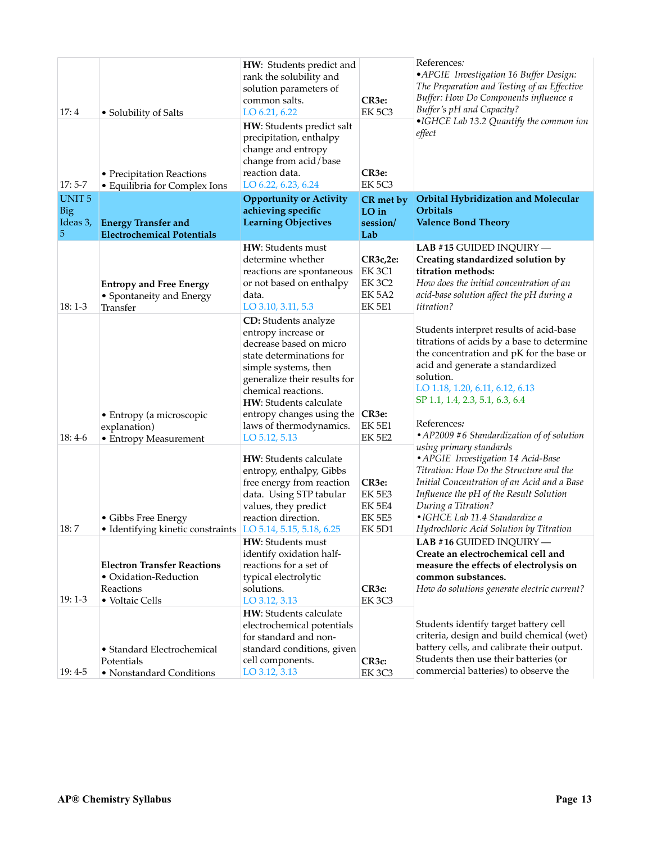| 17:4<br>$17:5-7$                            | • Solubility of Salts<br>• Precipitation Reactions<br>• Equilibria for Complex Ions         | HW: Students predict and<br>rank the solubility and<br>solution parameters of<br>common salts.<br>LO 6.21, 6.22<br>HW: Students predict salt<br>precipitation, enthalpy<br>change and entropy<br>change from acid/base<br>reaction data.<br>LO 6.22, 6.23, 6.24                             | CR3e:<br><b>EK 5C3</b><br>CR <sub>3e</sub> :<br>EK <sub>5C3</sub>  | References:<br>• APGIE Investigation 16 Buffer Design:<br>The Preparation and Testing of an Effective<br>Buffer: How Do Components influence a<br>Buffer's pH and Capacity?<br>•IGHCE Lab 13.2 Quantify the common ion<br>effect                                                                                      |
|---------------------------------------------|---------------------------------------------------------------------------------------------|---------------------------------------------------------------------------------------------------------------------------------------------------------------------------------------------------------------------------------------------------------------------------------------------|--------------------------------------------------------------------|-----------------------------------------------------------------------------------------------------------------------------------------------------------------------------------------------------------------------------------------------------------------------------------------------------------------------|
| <b>UNIT5</b><br><b>Big</b><br>Ideas 3,<br>5 | <b>Energy Transfer and</b><br><b>Electrochemical Potentials</b>                             | <b>Opportunity or Activity</b><br>achieving specific<br><b>Learning Objectives</b>                                                                                                                                                                                                          | CR met by<br>$LO$ in<br>session/<br>Lab                            | <b>Orbital Hybridization and Molecular</b><br>Orbitals<br><b>Valence Bond Theory</b>                                                                                                                                                                                                                                  |
| $18:1-3$                                    | <b>Entropy and Free Energy</b><br>• Spontaneity and Energy<br>Transfer                      | HW: Students must<br>determine whether<br>reactions are spontaneous<br>or not based on enthalpy<br>data.<br>LO 3.10, 3.11, 5.3                                                                                                                                                              | $CR3c,2e$ :<br><b>EK3C1</b><br>EK 3C2<br>EK 5A2<br><b>EK 5E1</b>   | LAB #15 GUIDED INQUIRY $-$<br>Creating standardized solution by<br>titration methods:<br>How does the initial concentration of an<br>acid-base solution affect the pH during a<br>titration?                                                                                                                          |
| $18:4-6$                                    | • Entropy (a microscopic<br>explanation)<br>• Entropy Measurement                           | <b>CD:</b> Students analyze<br>entropy increase or<br>decrease based on micro<br>state determinations for<br>simple systems, then<br>generalize their results for<br>chemical reactions.<br>HW: Students calculate<br>entropy changes using the<br>laws of thermodynamics.<br>LO 5.12, 5.13 | CR <sub>3e</sub> :<br><b>EK 5E1</b><br><b>EK 5E2</b>               | Students interpret results of acid-base<br>titrations of acids by a base to determine<br>the concentration and pK for the base or<br>acid and generate a standardized<br>solution.<br>LO 1.18, 1.20, 6.11, 6.12, 6.13<br>SP 1.1, 1.4, 2.3, 5.1, 6.3, 6.4<br>References:<br>• AP2009 #6 Standardization of of solution |
| 18:7                                        | • Gibbs Free Energy<br>• Identifying kinetic constraints LO 5.14, 5.15, 5.18, 6.25          | HW: Students calculate<br>entropy, enthalpy, Gibbs<br>free energy from reaction<br>data. Using STP tabular<br>values, they predict<br>reaction direction.                                                                                                                                   | CR3e:<br><b>EK 5E3</b><br><b>EK 5E4</b><br><b>EK 5E5</b><br>EK 5D1 | using primary standards<br>• APGIE Investigation 14 Acid-Base<br>Titration: How Do the Structure and the<br>Initial Concentration of an Acid and a Base<br>Influence the pH of the Result Solution<br>During a Titration?<br>• IGHCE Lab 11.4 Standardize a<br>Hydrochloric Acid Solution by Titration                |
| $19:1-3$                                    | <b>Electron Transfer Reactions</b><br>• Oxidation-Reduction<br>Reactions<br>• Voltaic Cells | HW: Students must<br>identify oxidation half-<br>reactions for a set of<br>typical electrolytic<br>solutions.<br>LO 3.12, 3.13                                                                                                                                                              | CR3c:<br>EK <sub>3C3</sub>                                         | LAB #16 GUIDED INQUIRY -<br>Create an electrochemical cell and<br>measure the effects of electrolysis on<br>common substances.<br>How do solutions generate electric current?                                                                                                                                         |
| $19:4-5$                                    | • Standard Electrochemical<br>Potentials<br>• Nonstandard Conditions                        | HW: Students calculate<br>electrochemical potentials<br>for standard and non-<br>standard conditions, given<br>cell components.<br>LO 3.12, 3.13                                                                                                                                            | CR <sub>3</sub> c:<br><b>EK 3C3</b>                                | Students identify target battery cell<br>criteria, design and build chemical (wet)<br>battery cells, and calibrate their output.<br>Students then use their batteries (or<br>commercial batteries) to observe the                                                                                                     |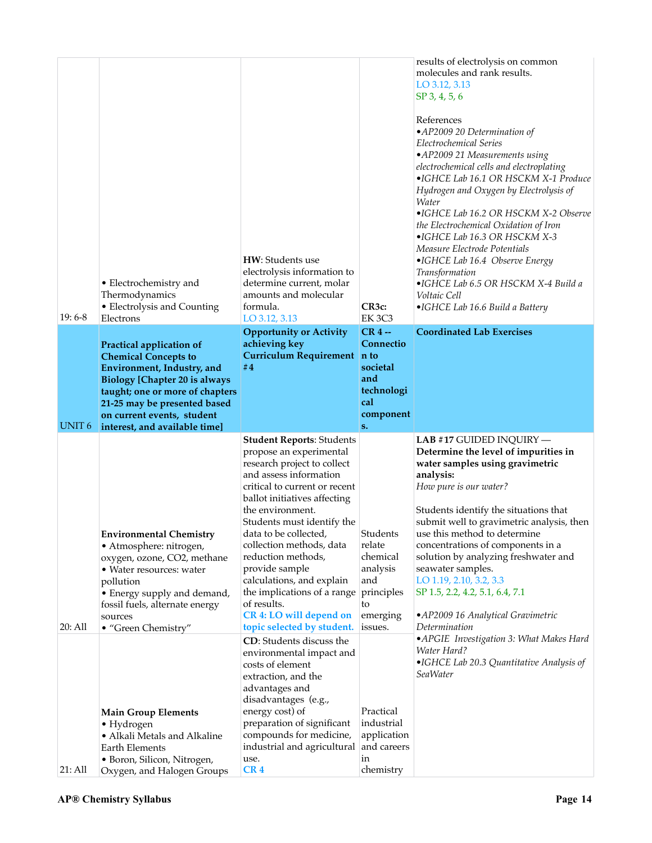| $19:6-8$          | • Electrochemistry and<br>Thermodynamics<br>• Electrolysis and Counting<br>Electrons                                                                                    | HW: Students use<br>electrolysis information to<br>determine current, molar<br>amounts and molecular<br>formula.<br>LO 3.12, 3.13                                                                                                                                | CR3c:<br><b>EK 3C3</b>                                                                       | results of electrolysis on common<br>molecules and rank results.<br>LO 3.12, 3.13<br>SP 3, 4, 5, 6<br>References<br>•AP2009 20 Determination of<br>Electrochemical Series<br>• AP2009 21 Measurements using<br>electrochemical cells and electroplating<br>•IGHCE Lab 16.1 OR HSCKM X-1 Produce<br>Hydrogen and Oxygen by Electrolysis of<br>Water<br>•IGHCE Lab 16.2 OR HSCKM X-2 Observe<br>the Electrochemical Oxidation of Iron<br>•IGHCE Lab 16.3 OR HSCKM X-3<br>Measure Electrode Potentials<br>•IGHCE Lab 16.4 Observe Energy<br><b>Transformation</b><br>·IGHCE Lab 6.5 OR HSCKM X-4 Build a<br>Voltaic Cell<br>•IGHCE Lab 16.6 Build a Battery |
|-------------------|-------------------------------------------------------------------------------------------------------------------------------------------------------------------------|------------------------------------------------------------------------------------------------------------------------------------------------------------------------------------------------------------------------------------------------------------------|----------------------------------------------------------------------------------------------|----------------------------------------------------------------------------------------------------------------------------------------------------------------------------------------------------------------------------------------------------------------------------------------------------------------------------------------------------------------------------------------------------------------------------------------------------------------------------------------------------------------------------------------------------------------------------------------------------------------------------------------------------------|
|                   | Practical application of<br><b>Chemical Concepts to</b>                                                                                                                 | <b>Opportunity or Activity</b><br>achieving key<br>Curriculum Requirement n to<br>#4                                                                                                                                                                             | $CR4$ --<br>Connectio<br>societal                                                            | <b>Coordinated Lab Exercises</b>                                                                                                                                                                                                                                                                                                                                                                                                                                                                                                                                                                                                                         |
|                   | Environment, Industry, and<br><b>Biology [Chapter 20 is always</b><br>taught; one or more of chapters<br>21-25 may be presented based                                   |                                                                                                                                                                                                                                                                  | and<br>technologi<br>cal                                                                     |                                                                                                                                                                                                                                                                                                                                                                                                                                                                                                                                                                                                                                                          |
| UNIT <sub>6</sub> | on current events, student<br>interest, and available time]                                                                                                             |                                                                                                                                                                                                                                                                  | component<br>S <sub>1</sub>                                                                  |                                                                                                                                                                                                                                                                                                                                                                                                                                                                                                                                                                                                                                                          |
|                   | <b>Environmental Chemistry</b><br>· Atmosphere: nitrogen,                                                                                                               | <b>Student Reports: Students</b><br>propose an experimental<br>research project to collect<br>and assess information<br>critical to current or recent<br>ballot initiatives affecting<br>the environment.<br>Students must identify the<br>data to be collected, |                                                                                              | LAB #17 GUIDED INQUIRY -<br>Determine the level of impurities in<br>water samples using gravimetric<br>analysis:<br>How pure is our water?<br>Students identify the situations that<br>submit well to gravimetric analysis, then                                                                                                                                                                                                                                                                                                                                                                                                                         |
| 20: All           | oxygen, ozone, CO2, methane<br>• Water resources: water<br>pollution<br>• Energy supply and demand,<br>fossil fuels, alternate energy<br>sources<br>• "Green Chemistry" | collection methods, data<br>reduction methods,<br>provide sample<br>calculations, and explain<br>the implications of a range<br>of results.<br>CR 4: LO will depend on<br>topic selected by student.                                                             | Students<br>relate<br>chemical<br>analysis<br>and<br>principles<br>to<br>emerging<br>issues. | use this method to determine<br>concentrations of components in a<br>solution by analyzing freshwater and<br>seawater samples.<br>LO 1.19, 2.10, 3.2, 3.3<br>SP 1.5, 2.2, 4.2, 5.1, 6.4, 7.1<br>• AP2009 16 Analytical Gravimetric<br>Determination<br>• APGIE Investigation 3: What Makes Hard                                                                                                                                                                                                                                                                                                                                                          |